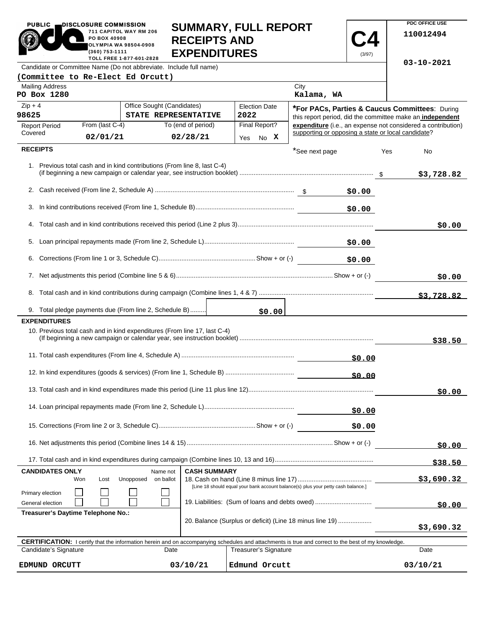|                                                                                                                                                                                         | PO BOX 40908<br>OLYMPIA WA 98504-0908<br>(360) 753-1111 | 711 CAPITOL WAY RM 206                                                    | <b>RECEIPTS AND</b>            | <b>EXPENDITURES</b>                                                                                                                                        |                                                    | (3/97)       |                                                           | 110012494                                                    |
|-----------------------------------------------------------------------------------------------------------------------------------------------------------------------------------------|---------------------------------------------------------|---------------------------------------------------------------------------|--------------------------------|------------------------------------------------------------------------------------------------------------------------------------------------------------|----------------------------------------------------|--------------|-----------------------------------------------------------|--------------------------------------------------------------|
| TOLL FREE 1-877-601-2828<br>Candidate or Committee Name (Do not abbreviate. Include full name)                                                                                          |                                                         |                                                                           |                                |                                                                                                                                                            |                                                    |              | $03 - 10 - 2021$                                          |                                                              |
| (Committee to Re-Elect Ed Orcutt)                                                                                                                                                       |                                                         |                                                                           |                                |                                                                                                                                                            |                                                    |              |                                                           |                                                              |
| <b>Mailing Address</b><br>PO Box 1280                                                                                                                                                   |                                                         |                                                                           |                                |                                                                                                                                                            | City<br>Kalama, WA                                 |              |                                                           |                                                              |
| $Zip + 4$                                                                                                                                                                               |                                                         | Office Sought (Candidates)                                                |                                | <b>Election Date</b>                                                                                                                                       |                                                    |              |                                                           | *For PACs, Parties & Caucus Committees: During               |
| 98625<br>STATE REPRESENTATIVE                                                                                                                                                           |                                                         |                                                                           | 2022                           |                                                                                                                                                            |                                                    |              | this report period, did the committee make an independent |                                                              |
| <b>Report Period</b><br>Covered                                                                                                                                                         | From (last C-4)<br>02/01/21                             |                                                                           | To (end of period)<br>02/28/21 | Final Report?<br>No X<br>Yes                                                                                                                               | supporting or opposing a state or local candidate? |              |                                                           | expenditure (i.e., an expense not considered a contribution) |
| <b>RECEIPTS</b>                                                                                                                                                                         |                                                         |                                                                           |                                |                                                                                                                                                            | *See next page                                     |              | Yes                                                       | No                                                           |
|                                                                                                                                                                                         |                                                         | 1. Previous total cash and in kind contributions (From line 8, last C-4)  |                                |                                                                                                                                                            |                                                    |              |                                                           | \$3,728.82                                                   |
|                                                                                                                                                                                         |                                                         |                                                                           |                                |                                                                                                                                                            |                                                    | \$0.00       |                                                           |                                                              |
|                                                                                                                                                                                         |                                                         |                                                                           |                                |                                                                                                                                                            |                                                    | \$0.00       |                                                           |                                                              |
|                                                                                                                                                                                         |                                                         |                                                                           |                                |                                                                                                                                                            |                                                    |              |                                                           | \$0.00                                                       |
|                                                                                                                                                                                         |                                                         |                                                                           |                                |                                                                                                                                                            |                                                    |              |                                                           |                                                              |
|                                                                                                                                                                                         |                                                         |                                                                           |                                |                                                                                                                                                            |                                                    | \$0.00       |                                                           |                                                              |
|                                                                                                                                                                                         |                                                         |                                                                           |                                | \$0.00                                                                                                                                                     |                                                    |              |                                                           |                                                              |
|                                                                                                                                                                                         |                                                         |                                                                           |                                |                                                                                                                                                            |                                                    |              |                                                           | \$3,728.82                                                   |
|                                                                                                                                                                                         |                                                         | 9. Total pledge payments due (From line 2, Schedule B)                    |                                | \$0.00                                                                                                                                                     |                                                    |              |                                                           |                                                              |
| <b>EXPENDITURES</b>                                                                                                                                                                     |                                                         |                                                                           |                                |                                                                                                                                                            |                                                    |              |                                                           |                                                              |
|                                                                                                                                                                                         |                                                         | 10. Previous total cash and in kind expenditures (From line 17, last C-4) |                                |                                                                                                                                                            |                                                    |              |                                                           | \$38.50                                                      |
|                                                                                                                                                                                         |                                                         |                                                                           |                                |                                                                                                                                                            |                                                    | \$0.00       |                                                           |                                                              |
|                                                                                                                                                                                         |                                                         |                                                                           |                                |                                                                                                                                                            |                                                    | <u>50.00</u> |                                                           |                                                              |
|                                                                                                                                                                                         |                                                         |                                                                           |                                |                                                                                                                                                            |                                                    |              |                                                           | \$0.00                                                       |
|                                                                                                                                                                                         |                                                         |                                                                           |                                |                                                                                                                                                            |                                                    | \$0.00       |                                                           |                                                              |
|                                                                                                                                                                                         |                                                         |                                                                           |                                |                                                                                                                                                            |                                                    | \$0.00       |                                                           |                                                              |
|                                                                                                                                                                                         |                                                         |                                                                           |                                |                                                                                                                                                            |                                                    |              |                                                           | \$0.00                                                       |
|                                                                                                                                                                                         |                                                         |                                                                           |                                |                                                                                                                                                            |                                                    |              |                                                           | \$38.50                                                      |
| <b>CANDIDATES ONLY</b><br><b>CASH SUMMARY</b><br>Name not<br>Unopposed<br>on ballot<br>Won<br>Lost<br>[Line 18 should equal your bank account balance(s) plus your petty cash balance.] |                                                         |                                                                           |                                |                                                                                                                                                            |                                                    |              | \$3,690.32                                                |                                                              |
| Primary election<br>19. Liabilities: (Sum of loans and debts owed)<br>General election                                                                                                  |                                                         |                                                                           |                                |                                                                                                                                                            |                                                    |              | \$0.00                                                    |                                                              |
| Treasurer's Daytime Telephone No.:<br>20. Balance (Surplus or deficit) (Line 18 minus line 19)                                                                                          |                                                         |                                                                           |                                |                                                                                                                                                            |                                                    | \$3,690.32   |                                                           |                                                              |
|                                                                                                                                                                                         |                                                         |                                                                           |                                | <b>CERTIFICATION:</b> I certify that the information herein and on accompanying schedules and attachments is true and correct to the best of my knowledge. |                                                    |              |                                                           |                                                              |
| Candidate's Signature                                                                                                                                                                   |                                                         | Date                                                                      |                                | <b>Treasurer's Signature</b>                                                                                                                               |                                                    |              |                                                           | Date                                                         |

**EDMUND ORCUTT 03/10/21 Edmund Orcutt 03/10/21**

**SUMMARY, FULL REPORT** 

 $\overline{\bullet}$ 

**PDC OFFICE USE** 

 $03/10/21$ 

PUBLIC **DISCLOSURE COMMISSION** 

×

711 CAPITOL WAY RM 206